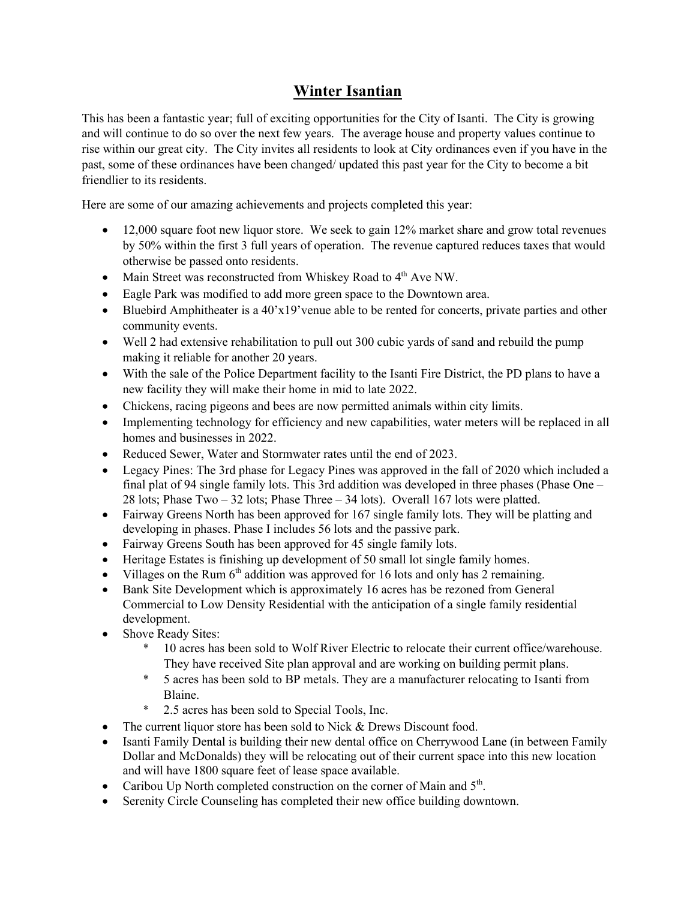## **Winter Isantian**

This has been a fantastic year; full of exciting opportunities for the City of Isanti. The City is growing and will continue to do so over the next few years. The average house and property values continue to rise within our great city. The City invites all residents to look at City ordinances even if you have in the past, some of these ordinances have been changed/ updated this past year for the City to become a bit friendlier to its residents.

Here are some of our amazing achievements and projects completed this year:

- 12,000 square foot new liquor store. We seek to gain 12% market share and grow total revenues by 50% within the first 3 full years of operation. The revenue captured reduces taxes that would otherwise be passed onto residents.
- Main Street was reconstructed from Whiskey Road to 4<sup>th</sup> Ave NW.
- Eagle Park was modified to add more green space to the Downtown area.
- Bluebird Amphitheater is a  $40'x19'$  venue able to be rented for concerts, private parties and other community events.
- Well 2 had extensive rehabilitation to pull out 300 cubic yards of sand and rebuild the pump making it reliable for another 20 years.
- With the sale of the Police Department facility to the Isanti Fire District, the PD plans to have a new facility they will make their home in mid to late 2022.
- Chickens, racing pigeons and bees are now permitted animals within city limits.
- Implementing technology for efficiency and new capabilities, water meters will be replaced in all homes and businesses in 2022.
- Reduced Sewer, Water and Stormwater rates until the end of 2023.
- Legacy Pines: The 3rd phase for Legacy Pines was approved in the fall of 2020 which included a final plat of 94 single family lots. This 3rd addition was developed in three phases (Phase One – 28 lots; Phase Two – 32 lots; Phase Three – 34 lots). Overall 167 lots were platted.
- Fairway Greens North has been approved for 167 single family lots. They will be platting and developing in phases. Phase I includes 56 lots and the passive park.
- Fairway Greens South has been approved for 45 single family lots.
- Heritage Estates is finishing up development of 50 small lot single family homes.
- Villages on the Rum  $6<sup>th</sup>$  addition was approved for 16 lots and only has 2 remaining.
- Bank Site Development which is approximately 16 acres has be rezoned from General Commercial to Low Density Residential with the anticipation of a single family residential development.
- Shove Ready Sites:
	- \* 10 acres has been sold to Wolf River Electric to relocate their current office/warehouse. They have received Site plan approval and are working on building permit plans.
	- \* 5 acres has been sold to BP metals. They are a manufacturer relocating to Isanti from Blaine.
	- \* 2.5 acres has been sold to Special Tools, Inc.
- The current liquor store has been sold to Nick & Drews Discount food.
- Isanti Family Dental is building their new dental office on Cherrywood Lane (in between Family Dollar and McDonalds) they will be relocating out of their current space into this new location and will have 1800 square feet of lease space available.
- Caribou Up North completed construction on the corner of Main and  $5<sup>th</sup>$ .
- Serenity Circle Counseling has completed their new office building downtown.